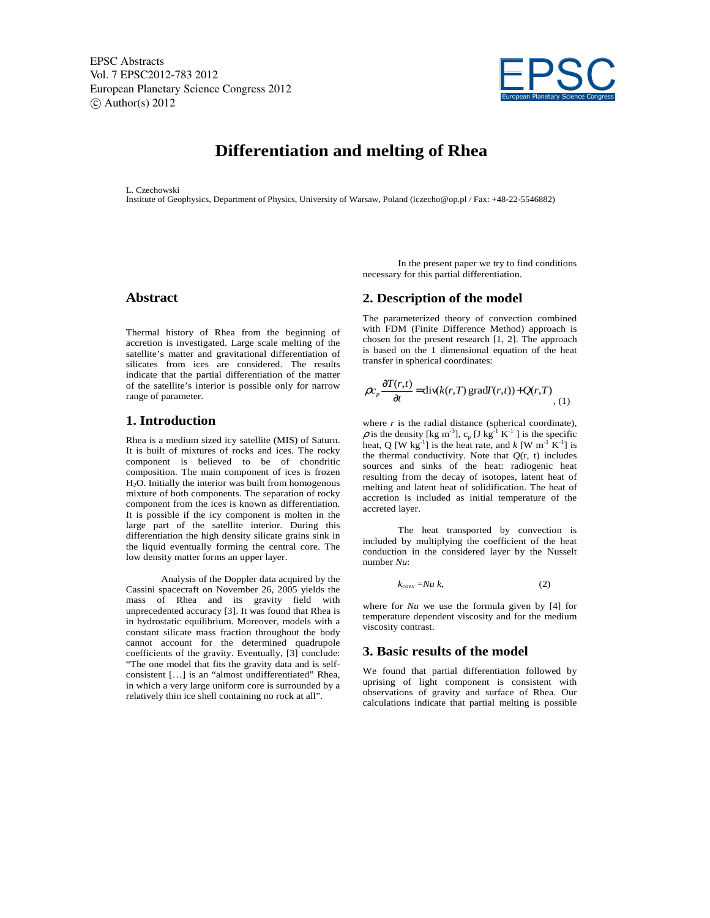EPSC Abstracts Vol. 7 EPSC2012-783 2012 European Planetary Science Congress 2012  $\circ$  Author(s) 2012



# **Differentiation and melting of Rhea**

L. Czechowski

Institute of Geophysics, Department of Physics, University of Warsaw, Poland (lczecho@op.pl / Fax: +48-22-5546882)

## **Abstract**

Thermal history of Rhea from the beginning of accretion is investigated. Large scale melting of the satellite's matter and gravitational differentiation of silicates from ices are considered. The results indicate that the partial differentiation of the matter of the satellite's interior is possible only for narrow range of parameter.

### **1. Introduction**

Rhea is a medium sized icy satellite (MIS) of Saturn. It is built of mixtures of rocks and ices. The rocky component is believed to be of chondritic composition. The main component of ices is frozen H2O. Initially the interior was built from homogenous mixture of both components. The separation of rocky component from the ices is known as differentiation. It is possible if the icy component is molten in the large part of the satellite interior. During this differentiation the high density silicate grains sink in the liquid eventually forming the central core. The low density matter forms an upper layer.

Analysis of the Doppler data acquired by the Cassini spacecraft on November 26, 2005 yields the mass of Rhea and its gravity field with unprecedented accuracy [3]. It was found that Rhea is in hydrostatic equilibrium. Moreover, models with a constant silicate mass fraction throughout the body cannot account for the determined quadrupole coefficients of the gravity. Eventually, [3] conclude: "The one model that fits the gravity data and is selfconsistent […] is an "almost undifferentiated" Rhea, in which a very large uniform core is surrounded by a relatively thin ice shell containing no rock at all".

In the present paper we try to find conditions necessary for this partial differentiation.

### **2. Description of the model**

The parameterized theory of convection combined with FDM (Finite Difference Method) approach is chosen for the present research [1, 2]. The approach is based on the 1 dimensional equation of the heat transfer in spherical coordinates:

$$
\rho c_p \frac{\partial T(r,t)}{\partial t} = \text{div}(k(r,T) \, \text{grad} T(r,t)) + Q(r,T) \tag{1}
$$

where  $r$  is the radial distance (spherical coordinate),  $\rho$  is the density [kg m<sup>-3</sup>], c<sub>p</sub> [J kg<sup>-1</sup> K<sup>-1</sup>] is the specific heat, Q [W kg<sup>-1</sup>] is the heat rate, and  $k$  [W m<sup>-1</sup> K<sup>-1</sup>] is the thermal conductivity. Note that  $Q(r, t)$  includes sources and sinks of the heat: radiogenic heat resulting from the decay of isotopes, latent heat of melting and latent heat of solidification. The heat of accretion is included as initial temperature of the accreted layer.

The heat transported by convection is included by multiplying the coefficient of the heat conduction in the considered layer by the Nusselt number *Nu*:

$$
k_{\text{conv}} = Nu \ k,\tag{2}
$$

where for *Nu* we use the formula given by [4] for temperature dependent viscosity and for the medium viscosity contrast.

#### **3. Basic results of the model**

We found that partial differentiation followed by uprising of light component is consistent with observations of gravity and surface of Rhea. Our calculations indicate that partial melting is possible